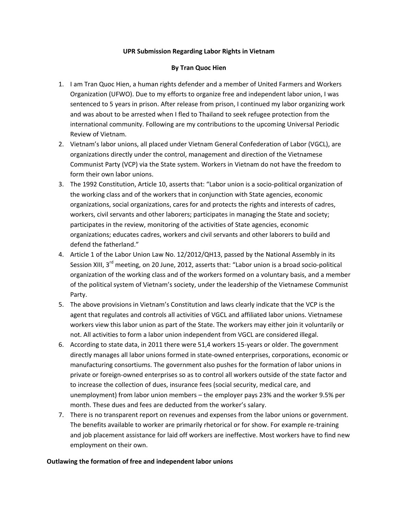### **UPR Submission Regarding Labor Rights in Vietnam**

### **By Tran Quoc Hien**

- 1. I am Tran Quoc Hien, a human rights defender and a member of United Farmers and Workers Organization (UFWO). Due to my efforts to organize free and independent labor union, I was sentenced to 5 years in prison. After release from prison, I continued my labor organizing work and was about to be arrested when I fled to Thailand to seek refugee protection from the international community. Following are my contributions to the upcoming Universal Periodic Review of Vietnam.
- 2. Vietnam's labor unions, all placed under Vietnam General Confederation of Labor (VGCL), are organizations directly under the control, management and direction of the Vietnamese Communist Party (VCP) via the State system. Workers in Vietnam do not have the freedom to form their own labor unions.
- 3. The 1992 Constitution, Article 10, asserts that: "Labor union is a socio-political organization of the working class and of the workers that in conjunction with State agencies, economic organizations, social organizations, cares for and protects the rights and interests of cadres, workers, civil servants and other laborers; participates in managing the State and society; participates in the review, monitoring of the activities of State agencies, economic organizations; educates cadres, workers and civil servants and other laborers to build and defend the fatherland."
- 4. Article 1 of the Labor Union Law No. 12/2012/QH13, passed by the National Assembly in its Session XIII, 3<sup>rd</sup> meeting, on 20 June, 2012, asserts that: "Labor union is a broad socio-political organization of the working class and of the workers formed on a voluntary basis, and a member of the political system of Vietnam's society, under the leadership of the Vietnamese Communist Party.
- 5. The above provisions in Vietnam's Constitution and laws clearly indicate that the VCP is the agent that regulates and controls all activities of VGCL and affiliated labor unions. Vietnamese workers view this labor union as part of the State. The workers may either join it voluntarily or not. All activities to form a labor union independent from VGCL are considered illegal.
- 6. According to state data, in 2011 there were 51,4 workers 15-years or older. The government directly manages all labor unions formed in state-owned enterprises, corporations, economic or manufacturing consortiums. The government also pushes for the formation of labor unions in private or foreign-owned enterprises so as to control all workers outside of the state factor and to increase the collection of dues, insurance fees (social security, medical care, and unemployment) from labor union members – the employer pays 23% and the worker 9.5% per month. These dues and fees are deducted from the worker's salary.
- 7. There is no transparent report on revenues and expenses from the labor unions or government. The benefits available to worker are primarily rhetorical or for show. For example re-training and job placement assistance for laid off workers are ineffective. Most workers have to find new employment on their own.

#### **Outlawing the formation of free and independent labor unions**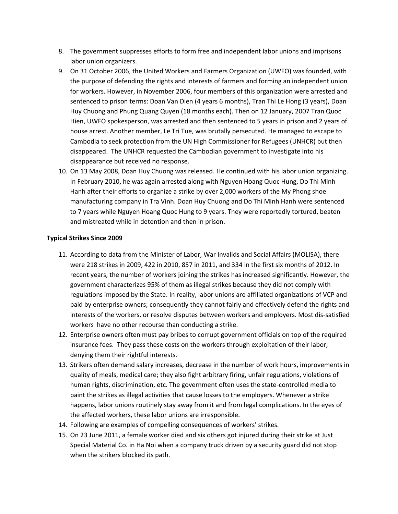- 8. The government suppresses efforts to form free and independent labor unions and imprisons labor union organizers.
- 9. On 31 October 2006, the United Workers and Farmers Organization (UWFO) was founded, with the purpose of defending the rights and interests of farmers and forming an independent union for workers. However, in November 2006, four members of this organization were arrested and sentenced to prison terms: Doan Van Dien (4 years 6 months), Tran Thi Le Hong (3 years), Doan Huy Chuong and Phung Quang Quyen (18 months each). Then on 12 January, 2007 Tran Quoc Hien, UWFO spokesperson, was arrested and then sentenced to 5 years in prison and 2 years of house arrest. Another member, Le Tri Tue, was brutally persecuted. He managed to escape to Cambodia to seek protection from the UN High Commissioner for Refugees (UNHCR) but then disappeared. The UNHCR requested the Cambodian government to investigate into his disappearance but received no response.
- 10. On 13 May 2008, Doan Huy Chuong was released. He continued with his labor union organizing. In February 2010, he was again arrested along with Nguyen Hoang Quoc Hung, Do Thi Minh Hanh after their efforts to organize a strike by over 2,000 workers of the My Phong shoe manufacturing company in Tra Vinh. Doan Huy Chuong and Do Thi Minh Hanh were sentenced to 7 years while Nguyen Hoang Quoc Hung to 9 years. They were reportedly tortured, beaten and mistreated while in detention and then in prison.

# **Typical Strikes Since 2009**

- 11. According to data from the Minister of Labor, War Invalids and Social Affairs (MOLISA), there were 218 strikes in 2009, 422 in 2010, 857 in 2011, and 334 in the first six months of 2012. In recent years, the number of workers joining the strikes has increased significantly. However, the government characterizes 95% of them as illegal strikes because they did not comply with regulations imposed by the State. In reality, labor unions are affiliated organizations of VCP and paid by enterprise owners; consequently they cannot fairly and effectively defend the rights and interests of the workers, or resolve disputes between workers and employers. Most dis-satisfied workers have no other recourse than conducting a strike.
- 12. Enterprise owners often must pay bribes to corrupt government officials on top of the required insurance fees. They pass these costs on the workers through exploitation of their labor, denying them their rightful interests.
- 13. Strikers often demand salary increases, decrease in the number of work hours, improvements in quality of meals, medical care; they also fight arbitrary firing, unfair regulations, violations of human rights, discrimination, etc. The government often uses the state-controlled media to paint the strikes as illegal activities that cause losses to the employers. Whenever a strike happens, labor unions routinely stay away from it and from legal complications. In the eyes of the affected workers, these labor unions are irresponsible.
- 14. Following are examples of compelling consequences of workers' strikes.
- 15. On 23 June 2011, a female worker died and six others got injured during their strike at Just Special Material Co. in Ha Noi when a company truck driven by a security guard did not stop when the strikers blocked its path.